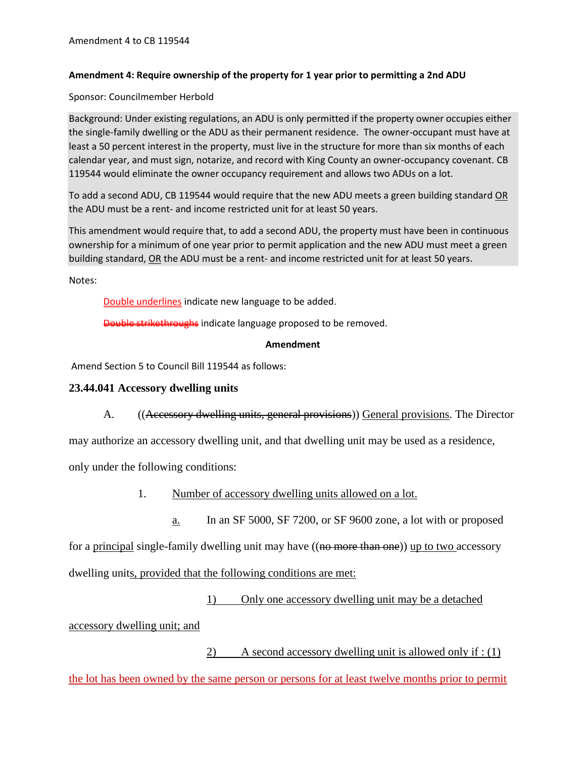## **Amendment 4: Require ownership of the property for 1 year prior to permitting a 2nd ADU**

Sponsor: Councilmember Herbold

Background: Under existing regulations, an ADU is only permitted if the property owner occupies either the single-family dwelling or the ADU as their permanent residence. The owner-occupant must have at least a 50 percent interest in the property, must live in the structure for more than six months of each calendar year, and must sign, notarize, and record with King County an owner-occupancy covenant. CB 119544 would eliminate the owner occupancy requirement and allows two ADUs on a lot.

To add a second ADU, CB 119544 would require that the new ADU meets a green building standard OR the ADU must be a rent- and income restricted unit for at least 50 years.

This amendment would require that, to add a second ADU, the property must have been in continuous ownership for a minimum of one year prior to permit application and the new ADU must meet a green building standard, OR the ADU must be a rent- and income restricted unit for at least 50 years.

Notes:

Double underlines indicate new language to be added.

Double strikethroughs indicate language proposed to be removed.

## **Amendment**

Amend Section 5 to Council Bill 119544 as follows:

## **23.44.041 Accessory dwelling units**

A. ((Accessory dwelling units, general provisions)) General provisions. The Director

may authorize an accessory dwelling unit, and that dwelling unit may be used as a residence,

only under the following conditions:

- 1. Number of accessory dwelling units allowed on a lot.
	- a. In an SF 5000, SF 7200, or SF 9600 zone, a lot with or proposed

for a principal single-family dwelling unit may have ((no more than one)) up to two accessory

dwelling units, provided that the following conditions are met:

1) Only one accessory dwelling unit may be a detached

accessory dwelling unit; and

2) A second accessory dwelling unit is allowed only if : (1)

the lot has been owned by the same person or persons for at least twelve months prior to permit